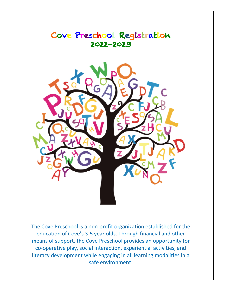

The Cove Preschool is a non-profit organization established for the education of Cove's 3-5 year olds. Through financial and other means of support, the Cove Preschool provides an opportunity for co-operative play, social interaction, experiential activities, and literacy development while engaging in all learning modalities in a safe environment.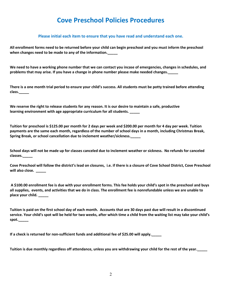# **Cove Preschool Policies Procedures**

#### **Please initial each item to ensure that you have read and understand each one.**

**All enrollment forms need to be returned before your child can begin preschool and you must inform the preschool when changes need to be made to any of the information.\_\_\_\_\_**

**We need to have a working phone number that we can contact you incase of emergencies, changes in schedules, and problems that may arise. If you have a change in phone number please make needed changes.\_\_\_\_\_**

**There is a one month trial period to ensure your child's success. All students must be potty trained before attending class.\_\_\_\_\_**

**We reserve the right to release students for any reason. It is our desire to maintain a safe, productive learning environment with age appropriate curriculum for all students. \_\_\_\_\_**

**Tuition for preschool is \$125.00 per month for 2 days per week and \$200.00 per month for 4 day per week. Tuition payments are the same each month, regardless of the number of school days in a month, including Christmas Break, Spring Break, or school cancellation due to inclement weather/sickness.\_\_\_\_\_**

**School days will not be made up for classes canceled due to inclement weather or sickness. No refunds for canceled classes.\_\_\_\_\_**

**Cove Preschool will follow the district's lead on closures, i.e. if there is a closure of Cove School District, Cove Preschool will also close. \_\_\_\_\_**

**A \$100.00 enrollment fee is due with your enrollment forms. This fee holds your child's spot in the preschool and buys all supplies, events, and activities that we do in class. The enrollment fee is nonrefundable unless we are unable to place your child. \_\_\_\_\_**

**Tuition is paid on the first school day of each month. Accounts that are 30 days past due will result in a discontinued service. Your child's spot will be held for two weeks, after which time a child from the waiting list may take your child's spot.\_\_\_\_\_**

**If a check is returned for non-sufficient funds and additional fee of \$25.00 will apply.\_\_\_\_\_**

**Tuition is due monthly regardless off attendance, unless you are withdrawing your child for the rest of the year.\_\_\_\_\_**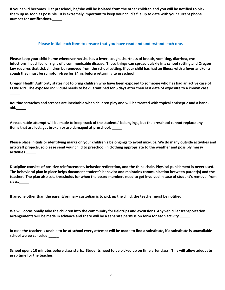**If your child becomes ill at preschool, he/she will be isolated from the other children and you will be notified to pick them up as soon as possible. It is extremely important to keep your child's file up to date with your current phone number for notifications.\_\_\_\_\_**

#### **Please initial each item to ensure that you have read and understand each one.**

**Please keep your child home whenever he/she has a fever, cough, shortness of breath, vomiting, diarrhea, eye infections, head lice, or signs of a communicable disease. These things can spread quickly in a school setting and Oregon law requires that sick children be removed from the school setting. If your child has had an illness with a fever and/or a cough they must be symptom-free for 24hrs before returning to preschool\_\_\_\_\_**

**Oregon Health Authority states not to bring children who have been exposed to someone who has had an active case of COIVD-19. The exposed individual needs to be quarantined for 5 days after their last date of exposure to a known case.** 

**Routine scratches and scrapes are inevitable when children play and will be treated with topical antiseptic and a bandaid.\_\_\_\_\_**

**\_\_\_\_\_**

**A reasonable attempt will be made to keep track of the students' belongings, but the preschool cannot replace any items that are lost, get broken or are damaged at preschool. \_\_\_\_\_**

**Please place initials or identifying marks on your children's belongings to avoid mix-ups. We do many outside activities and art/craft projects, so please send your child to preschool in clothing appropriate to the weather and possibly messy activities.\_\_\_\_\_**

**Discipline consists of positive reinforcement, behavior redirection, and the think chair. Physical punishment is never used. The behavioral plan in place helps document student's behavior and maintains communication between parent(s) and the teacher. The plan also sets thresholds for when the board members need to get involved in case of student's removal from class.\_\_\_\_\_**

**If anyone other than the parent/primary custodian is to pick up the child, the teacher must be notified.\_\_\_\_\_**

**We will occasionally take the children into the community for fieldtrips and excursions. Any vehicular transportation arrangements will be made in advance and there will be a separate permission form for each activity.\_\_\_\_\_**

**In case the teacher is unable to be at school every attempt will be made to find a substitute, if a substitute is unavailable school we be canceled.\_\_\_\_\_**

**School opens 10 minutes before class starts. Students need to be picked up on time after class. This will allow adequate prep time for the teacher.\_\_\_\_\_**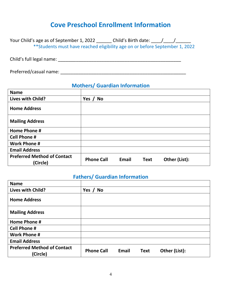# **Cove Preschool Enrollment Information**

| Your Child's age as of September 1, 2022                                    | Child's Birth date: $/$ / |  |
|-----------------------------------------------------------------------------|---------------------------|--|
| **Students must have reached eligibility age on or before September 1, 2022 |                           |  |

Child's full legal name: \_\_\_\_\_\_\_\_\_\_\_\_\_\_\_\_\_\_\_\_\_\_\_\_\_\_\_\_\_\_\_\_\_\_\_\_\_\_\_\_\_\_\_\_\_\_\_\_

Preferred/casual name: \_\_\_\_\_\_\_\_\_\_\_\_\_\_\_\_\_\_\_\_\_\_\_\_\_\_\_\_\_\_\_\_\_\_\_\_\_\_\_\_\_\_\_\_\_\_\_\_\_

## **Mothers/ Guardian Information**

| <b>Name</b>                                    |                                                            |
|------------------------------------------------|------------------------------------------------------------|
| Lives with Child?                              | Yes /<br><b>No</b>                                         |
| <b>Home Address</b>                            |                                                            |
| <b>Mailing Address</b>                         |                                                            |
| Home Phone #                                   |                                                            |
| <b>Cell Phone #</b>                            |                                                            |
| <b>Work Phone #</b>                            |                                                            |
| <b>Email Address</b>                           |                                                            |
| <b>Preferred Method of Contact</b><br>(Circle) | <b>Phone Call</b><br>Other (List):<br>Email<br><b>Text</b> |

### **Fathers/ Guardian Information**

| <b>Name</b>                                    |                                                            |
|------------------------------------------------|------------------------------------------------------------|
| Lives with Child?                              | Yes $/$<br><b>No</b>                                       |
| <b>Home Address</b>                            |                                                            |
| <b>Mailing Address</b>                         |                                                            |
| Home Phone #                                   |                                                            |
| <b>Cell Phone #</b>                            |                                                            |
| <b>Work Phone #</b>                            |                                                            |
| <b>Email Address</b>                           |                                                            |
| <b>Preferred Method of Contact</b><br>(Circle) | <b>Phone Call</b><br>Email<br>Other (List):<br><b>Text</b> |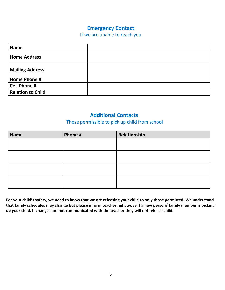## **Emergency Contact**

If we are unable to reach you

| <b>Name</b>              |  |
|--------------------------|--|
| <b>Home Address</b>      |  |
| <b>Mailing Address</b>   |  |
| <b>Home Phone #</b>      |  |
| <b>Cell Phone #</b>      |  |
| <b>Relation to Child</b> |  |

### **Additional Contacts**

### Those permissible to pick up child from school

| <b>Name</b> | Phone # | Relationship |
|-------------|---------|--------------|
|             |         |              |
|             |         |              |
|             |         |              |
|             |         |              |
|             |         |              |
|             |         |              |
|             |         |              |
|             |         |              |

**For your child's safety, we need to know that we are releasing your child to only those permitted. We understand that family schedules may change but please inform teacher right away if a new person/ family member is picking up your child. If changes are not communicated with the teacher they will not release child.**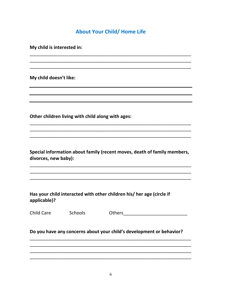## **About Your Child/ Home Life**

My child is interested in:

My child doesn't like:

Other children living with child along with ages:

Special information about family (recent moves, death of family members, divorces, new baby):

Has your child interacted with other children his/ her age (circle if applicable)?

Child Care Schools

Do you have any concerns about your child's development or behavior?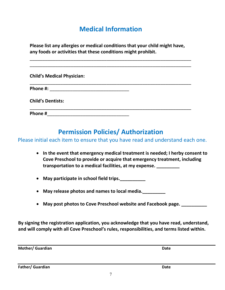# **Medical Information**

**Please list any allergies or medical conditions that your child might have, any foods or activities that these conditions might prohibit.**

\_\_\_\_\_\_\_\_\_\_\_\_\_\_\_\_\_\_\_\_\_\_\_\_\_\_\_\_\_\_\_\_\_\_\_\_\_\_\_\_\_\_\_\_\_\_\_\_\_\_\_\_\_\_\_\_\_\_\_\_\_\_\_

| <b>Child's Medical Physician:</b> |  |
|-----------------------------------|--|
|                                   |  |
| <b>Child's Dentists:</b>          |  |
| Phone #                           |  |

# **Permission Policies/ Authorization**

Please initial each item to ensure that you have read and understand each one.

- **In the event that emergency medical treatment is needed; I herby consent to Cove Preschool to provide or acquire that emergency treatment, including transportation to a medical facilities, at my expense. \_\_\_\_\_\_\_\_\_**
- **May participate in school field trips.**
- **May release photos and names to local media.\_\_\_\_\_\_\_\_\_**
- **May post photos to Cove Preschool website and Facebook page. \_\_\_\_\_\_\_\_\_\_**

**By signing the registration application, you acknowledge that you have read, understand, and will comply with all Cove Preschool's rules, responsibilities, and terms listed within.**

**Mother/ Guardian Date** 

**Father/ Guardian Date**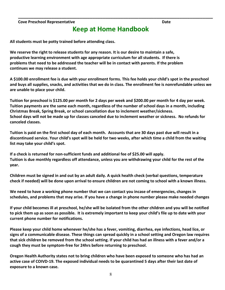#### **Cove Preschool Representative Date**

## **Keep at Home Handbook**

**\_\_\_\_\_\_\_\_\_\_\_\_\_\_\_\_\_\_\_\_\_\_\_\_\_\_\_\_\_\_\_\_\_\_\_\_\_\_\_\_\_\_\_\_\_\_\_\_\_\_\_\_\_\_\_\_\_\_\_\_\_\_\_\_\_\_\_\_\_\_\_\_\_\_\_\_**

**All students must be potty trained before attending class.**

**We reserve the right to release students for any reason. It is our desire to maintain a safe, productive learning environment with age appropriate curriculum for all students. If there is problems that need to be addressed the teacher will be in contact with parents. If the problem continues we may release a student.** 

**A \$100.00 enrollment fee is due with your enrollment forms. This fee holds your child's spot in the preschool and buys all supplies, snacks, and activities that we do in class. The enrollment fee is nonrefundable unless we are unable to place your child.** 

**Tuition for preschool is \$125.00 per month for 2 days per week and \$200.00 per month for 4 day per week. Tuition payments are the same each month, regardless of the number of school days in a month, including Christmas Break, Spring Break, or school cancellation due to inclement weather/sickness. School days will not be made up for classes canceled due to inclement weather or sickness. No refunds for canceled classes.**

**Tuition is paid on the first school day of each month. Accounts that are 30 days past due will result in a discontinued service. Your child's spot will be held for two weeks, after which time a child from the waiting list may take your child's spot.** 

**If a check is returned for non-sufficient funds and additional fee of \$25.00 will apply. Tuition is due monthly regardless off attendance, unless you are withdrawing your child for the rest of the year.**

**Children must be signed in and out by an adult daily. A quick health check (verbal questions, temperature check if needed) will be done upon arrival to ensure children are not coming to school with a known illness.**

**We need to have a working phone number that we can contact you incase of emergencies, changes in schedules, and problems that may arise. If you have a change in phone number please make needed changes**

**If your child becomes ill at preschool, he/she will be isolated from the other children and you will be notified to pick them up as soon as possible. It is extremely important to keep your child's file up to date with your current phone number for notifications.**

**Please keep your child home whenever he/she has a fever, vomiting, diarrhea, eye infections, head lice, or signs of a communicable disease. These things can spread quickly in a school setting and Oregon law requires that sick children be removed from the school setting. If your child has had an illness with a fever and/or a cough they must be symptom-free for 24hrs before returning to preschool.**

**Oregon Health Authority states not to bring children who have been exposed to someone who has had an active case of COIVD-19. The exposed individual needs to be quarantined 5 days after their last date of exposure to a known case.**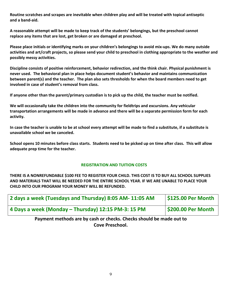**Routine scratches and scrapes are inevitable when children play and will be treated with topical antiseptic and a band-aid.**

**A reasonable attempt will be made to keep track of the students' belongings, but the preschool cannot replace any items that are lost, get broken or are damaged at preschool.** 

**Please place initials or identifying marks on your children's belongings to avoid mix-ups. We do many outside activities and art/craft projects, so please send your child to preschool in clothing appropriate to the weather and possibly messy activities.**

**Discipline consists of positive reinforcement, behavior redirection, and the think chair. Physical punishment is never used. The behavioral plan in place helps document student's behavior and maintains communication between parent(s) and the teacher. The plan also sets thresholds for when the board members need to get involved in case of student's removal from class.**

**If anyone other than the parent/primary custodian is to pick up the child, the teacher must be notified.**

**We will occasionally take the children into the community for fieldtrips and excursions. Any vehicular transportation arrangements will be made in advance and there will be a separate permission form for each activity.**

**In case the teacher is unable to be at school every attempt will be made to find a substitute, if a substitute is unavailable school we be canceled.**

**School opens 10 minutes before class starts. Students need to be picked up on time after class. This will allow adequate prep time for the teacher.**

### **REGISTRATION AND TUITION COSTS**

**THERE IS A NONREFUNDABLE \$100 FEE TO REGISTER YOUR CHILD. THIS COST IS TO BUY ALL SCHOOL SUPPLIES AND MATERIALS THAT WILL BE NEEDED FOR THE ENTIRE SCHOOL YEAR. IF WE ARE UNABLE TO PLACE YOUR CHILD INTO OUR PROGRAM YOUR MONEY WILL BE REFUNDED.**

| 2 days a week (Tuesdays and Thursday) 8:05 AM- 11:05 AM | \$125.00 Per Month |
|---------------------------------------------------------|--------------------|
| 4 Days a week (Monday – Thursday) 12:15 PM-3: 15 PM     | \$200.00 Per Month |

**Payment methods are by cash or checks. Checks should be made out to Cove Preschool.**